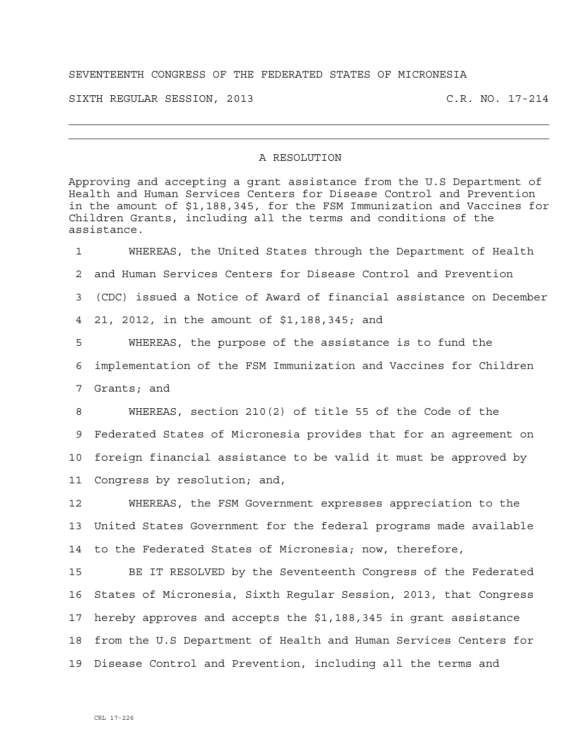## SEVENTEENTH CONGRESS OF THE FEDERATED STATES OF MICRONESIA

SIXTH REGULAR SESSION, 2013 C.R. NO. 17-214

## A RESOLUTION

Approving and accepting a grant assistance from the U.S Department of Health and Human Services Centers for Disease Control and Prevention in the amount of \$1,188,345, for the FSM Immunization and Vaccines for Children Grants, including all the terms and conditions of the assistance.

1 WHEREAS, the United States through the Department of Health 2 and Human Services Centers for Disease Control and Prevention 3 (CDC) issued a Notice of Award of financial assistance on December 4 21, 2012, in the amount of \$1,188,345; and 5 WHEREAS, the purpose of the assistance is to fund the 6 implementation of the FSM Immunization and Vaccines for Children 7 Grants; and 8 WHEREAS, section 210(2) of title 55 of the Code of the 9 Federated States of Micronesia provides that for an agreement on 10 foreign financial assistance to be valid it must be approved by 11 Congress by resolution; and, 12 WHEREAS, the FSM Government expresses appreciation to the

13 United States Government for the federal programs made available 14 to the Federated States of Micronesia; now, therefore,

15 BE IT RESOLVED by the Seventeenth Congress of the Federated 16 States of Micronesia, Sixth Regular Session, 2013, that Congress 17 hereby approves and accepts the \$1,188,345 in grant assistance 18 from the U.S Department of Health and Human Services Centers for 19 Disease Control and Prevention, including all the terms and